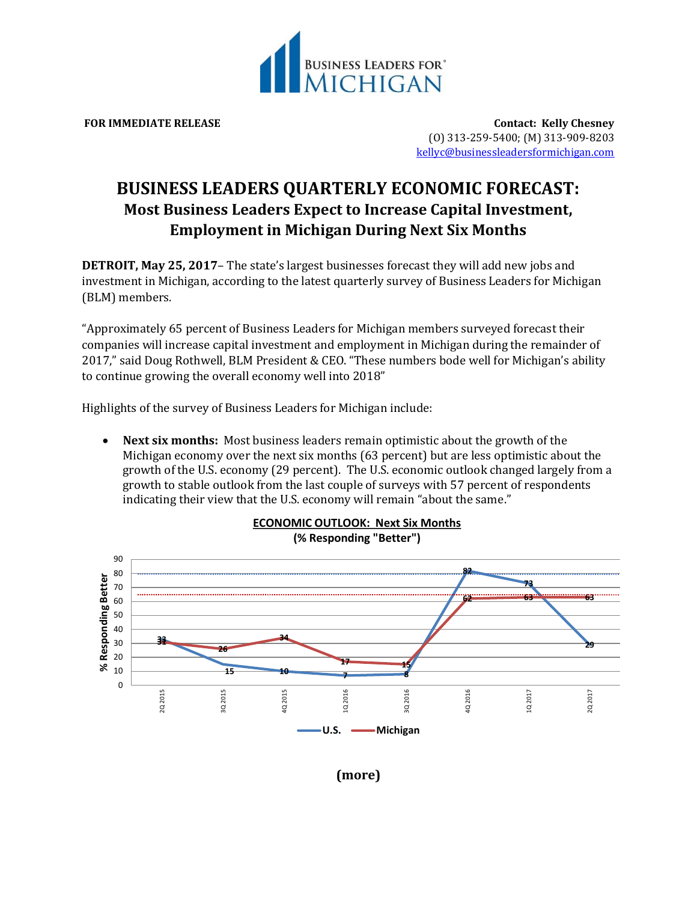

**FOR IMMEDIATE RELEASE Contact: Kelly Chesney** (O) 313-259-5400; (M) 313-909-8203 [kellyc@businessleadersformichigan.com](mailto:kellyc@businessleadersformichigan.com)

## **BUSINESS LEADERS QUARTERLY ECONOMIC FORECAST: Most Business Leaders Expect to Increase Capital Investment, Employment in Michigan During Next Six Months**

**DETROIT, May 25, 2017**– The state's largest businesses forecast they will add new jobs and investment in Michigan, according to the latest quarterly survey of Business Leaders for Michigan (BLM) members.

"Approximately 65 percent of Business Leaders for Michigan members surveyed forecast their companies will increase capital investment and employment in Michigan during the remainder of 2017," said Doug Rothwell, BLM President & CEO. "These numbers bode well for Michigan's ability to continue growing the overall economy well into 2018"

Highlights of the survey of Business Leaders for Michigan include:

 **Next six months:** Most business leaders remain optimistic about the growth of the Michigan economy over the next six months (63 percent) but are less optimistic about the growth of the U.S. economy (29 percent). The U.S. economic outlook changed largely from a growth to stable outlook from the last couple of surveys with 57 percent of respondents indicating their view that the U.S. economy will remain "about the same."



## **ECONOMIC OUTLOOK: Next Six Months (% Responding "Better")**